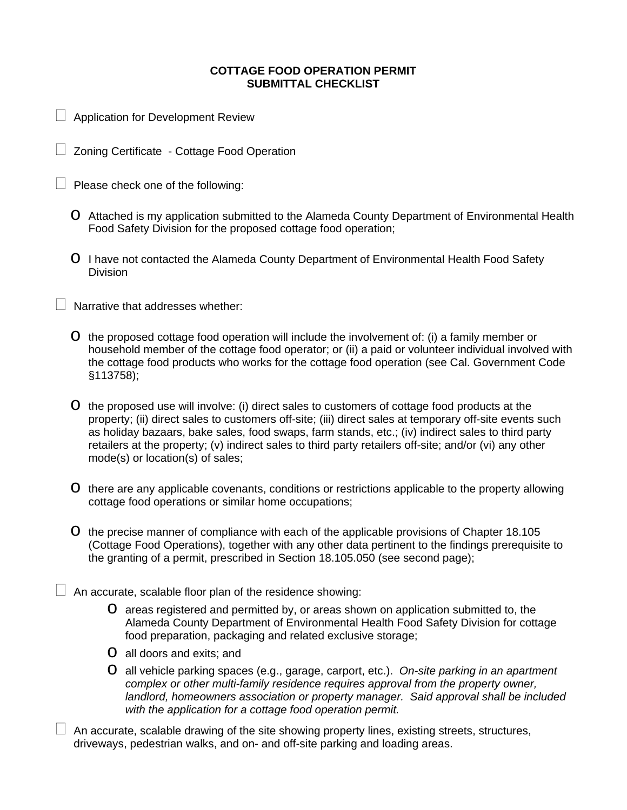## **COTTAGE FOOD OPERATION PERMIT SUBMITTAL CHECKLIST**

- Application for Development Review
- Zoning Certificate Cottage Food Operation
- $\Box$  Please check one of the following:
	- o Attached is my application submitted to the Alameda County Department of Environmental Health Food Safety Division for the proposed cottage food operation;
	- o I have not contacted the Alameda County Department of Environmental Health Food Safety Division

Narrative that addresses whether:

- $\circ$  the proposed cottage food operation will include the involvement of: (i) a family member or household member of the cottage food operator; or (ii) a paid or volunteer individual involved with the cottage food products who works for the cottage food operation (see Cal. Government Code §113758);
- o the proposed use will involve: (i) direct sales to customers of cottage food products at the property; (ii) direct sales to customers off-site; (iii) direct sales at temporary off-site events such as holiday bazaars, bake sales, food swaps, farm stands, etc.; (iv) indirect sales to third party retailers at the property; (v) indirect sales to third party retailers off-site; and/or (vi) any other mode(s) or location(s) of sales;
- o there are any applicable covenants, conditions or restrictions applicable to the property allowing cottage food operations or similar home occupations;
- o the precise manner of compliance with each of the applicable provisions of Chapter 18.105 (Cottage Food Operations), together with any other data pertinent to the findings prerequisite to the granting of a permit, prescribed in Section 18.105.050 (see second page);
- $\Box$  An accurate, scalable floor plan of the residence showing:
	- o areas registered and permitted by, or areas shown on application submitted to, the Alameda County Department of Environmental Health Food Safety Division for cottage food preparation, packaging and related exclusive storage;
	- o all doors and exits; and
	- o all vehicle parking spaces (e.g., garage, carport, etc.). *On-site parking in an apartment complex or other multi-family residence requires approval from the property owner, landlord, homeowners association or property manager. Said approval shall be included with the application for a cottage food operation permit.*
- $\Box$  An accurate, scalable drawing of the site showing property lines, existing streets, structures, driveways, pedestrian walks, and on- and off-site parking and loading areas.